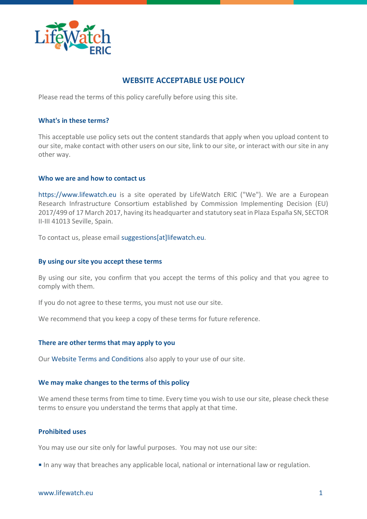

# **WEBSITE ACCEPTABLE USE POLICY**

Please read the terms of this policy carefully before using this site.

### **What's in these terms?**

This acceptable use policy sets out the content standards that apply when you upload content to our site, make contact with other users on our site, link to our site, or interact with our site in any other way.

#### **Who we are and how to contact us**

[https://www.lifewatch.eu](https://www.lifewatch.eu/) is a site operated by LifeWatch ERIC ("We"). We are a European Research Infrastructure Consortium established by Commission Implementing Decision (EU) 2017/499 of 17 March 2017, having its headquarter and statutory seat in Plaza España SN, SECTOR II-III 41013 Seville, Spain.

To contact us, please email suggestions[at]lifewatch.eu.

### **By using our site you accept these terms**

By using our site, you confirm that you accept the terms of this policy and that you agree to comply with them.

If you do not agree to these terms, you must not use our site.

We recommend that you keep a copy of these terms for future reference.

#### **There are other terms that may apply to you**

Our [Website Terms and Conditions](https://www.lifewatch.eu/terms-and-conditions) also apply to your use of our site.

#### **We may make changes to the terms of this policy**

We amend these terms from time to time. Every time you wish to use our site, please check these terms to ensure you understand the terms that apply at that time.

### **Prohibited uses**

You may use our site only for lawful purposes. You may not use our site:

In any way that breaches any applicable local, national or international law or regulation.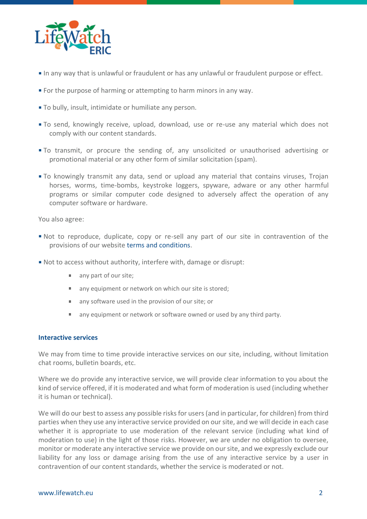

- In any way that is unlawful or fraudulent or has any unlawful or fraudulent purpose or effect.
- For the purpose of harming or attempting to harm minors in any way.
- To bully, insult, intimidate or humiliate any person.
- To send, knowingly receive, upload, download, use or re-use any material which does not comply with our content standards.
- To transmit, or procure the sending of, any unsolicited or unauthorised advertising or promotional material or any other form of similar solicitation (spam).
- To knowingly transmit any data, send or upload any material that contains viruses, Trojan horses, worms, time-bombs, keystroke loggers, spyware, adware or any other harmful programs or similar computer code designed to adversely affect the operation of any computer software or hardware.

You also agree:

- Not to reproduce, duplicate, copy or re-sell any part of our site in contravention of the provisions of our website [terms and conditions.](https://www.lifewatch.eu/terms-and-conditions)
- Not to access without authority, interfere with, damage or disrupt:
	- any part of our site;
	- any equipment or network on which our site is stored;  $\mathbf{u}$  .
	- $\mathbf{m}$  . any software used in the provision of our site; or
	- any equipment or network or software owned or used by any third party.

#### **Interactive services**

We may from time to time provide interactive services on our site, including, without limitation chat rooms, bulletin boards, etc.

Where we do provide any interactive service, we will provide clear information to you about the kind of service offered, if it is moderated and what form of moderation is used (including whether it is human or technical).

We will do our best to assess any possible risks for users (and in particular, for children) from third parties when they use any interactive service provided on our site, and we will decide in each case whether it is appropriate to use moderation of the relevant service (including what kind of moderation to use) in the light of those risks. However, we are under no obligation to oversee, monitor or moderate any interactive service we provide on our site, and we expressly exclude our liability for any loss or damage arising from the use of any interactive service by a user in contravention of our content standards, whether the service is moderated or not.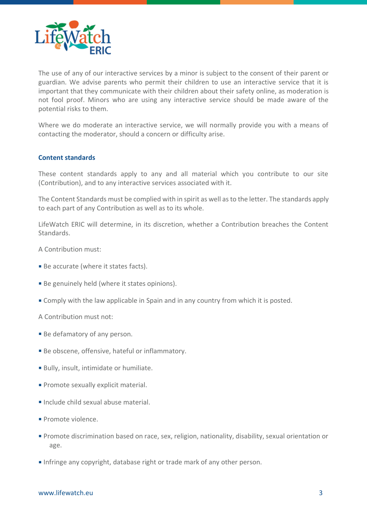

The use of any of our interactive services by a minor is subject to the consent of their parent or guardian. We advise parents who permit their children to use an interactive service that it is important that they communicate with their children about their safety online, as moderation is not fool proof. Minors who are using any interactive service should be made aware of the potential risks to them.

Where we do moderate an interactive service, we will normally provide you with a means of contacting the moderator, should a concern or difficulty arise.

# **Content standards**

These content standards apply to any and all material which you contribute to our site (Contribution), and to any interactive services associated with it.

The Content Standards must be complied with in spirit as well asto the letter. The standards apply to each part of any Contribution as well as to its whole.

LifeWatch ERIC will determine, in its discretion, whether a Contribution breaches the Content Standards.

A Contribution must:

- Be accurate (where it states facts).
- **Be genuinely held (where it states opinions).**
- Comply with the law applicable in Spain and in any country from which it is posted.

A Contribution must not:

- **Be defamatory of any person.**
- Be obscene, offensive, hateful or inflammatory.
- Bully, insult, intimidate or humiliate.
- **Promote sexually explicit material.**
- Include child sexual abuse material.
- Promote violence.
- Promote discrimination based on race, sex, religion, nationality, disability, sexual orientation or age.
- Infringe any copyright, database right or trade mark of any other person.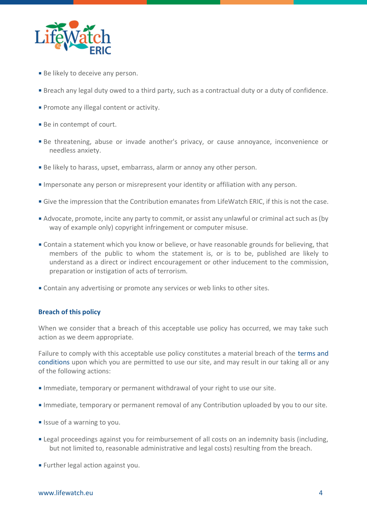

- **Be likely to deceive any person.**
- Breach any legal duty owed to a third party, such as a contractual duty or a duty of confidence.
- **Promote any illegal content or activity.**
- **Be in contempt of court.**
- Be threatening, abuse or invade another's privacy, or cause annoyance, inconvenience or needless anxiety.
- Be likely to harass, upset, embarrass, alarm or annoy any other person.
- Impersonate any person or misrepresent your identity or affiliation with any person.
- Give the impression that the Contribution emanates from LifeWatch ERIC, if this is not the case.
- Advocate, promote, incite any party to commit, or assist any unlawful or criminal act such as (by way of example only) copyright infringement or computer misuse.
- Contain a statement which you know or believe, or have reasonable grounds for believing, that members of the public to whom the statement is, or is to be, published are likely to understand as a direct or indirect encouragement or other inducement to the commission, preparation or instigation of acts of terrorism.
- Contain any advertising or promote any services or web links to other sites.

# **Breach of this policy**

When we consider that a breach of this acceptable use policy has occurred, we may take such action as we deem appropriate.

Failure to comply with this acceptable use policy constitutes a material breach of the [terms and](https://www.lifewatch.eu/terms-and-conditions)  [conditions](https://www.lifewatch.eu/terms-and-conditions) upon which you are permitted to use our site, and may result in our taking all or any of the following actions:

- Immediate, temporary or permanent withdrawal of your right to use our site.
- Immediate, temporary or permanent removal of any Contribution uploaded by you to our site.
- **If** Issue of a warning to you.
- **Example 2** Legal proceedings against you for reimbursement of all costs on an indemnity basis (including, but not limited to, reasonable administrative and legal costs) resulting from the breach.
- **Further legal action against you.**